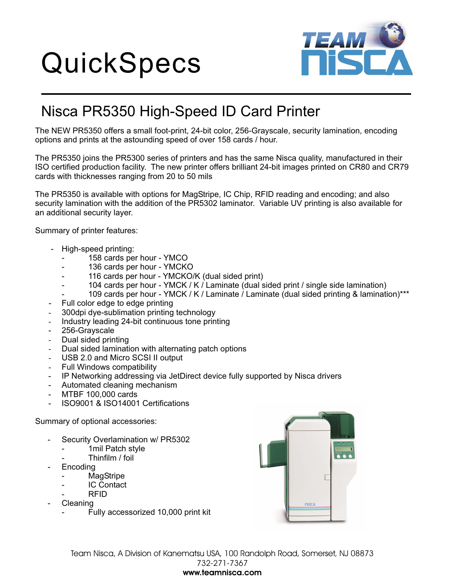## **QuickSpecs**



## Nisca PR5350 High-Speed ID Card Printer

The NEW PR5350 offers a small foot-print, 24-bit color, 256-Grayscale, security lamination, encoding options and prints at the astounding speed of over 158 cards / hour.

The PR5350 joins the PR5300 series of printers and has the same Nisca quality, manufactured in their ISO certified production facility. The new printer offers brilliant 24-bit images printed on CR80 and CR79 cards with thicknesses ranging from 20 to 50 mils

The PR5350 is available with options for MagStripe, IC Chip, RFID reading and encoding; and also security lamination with the addition of the PR5302 laminator. Variable UV printing is also available for an additional security layer.

Summary of printer features:

- High-speed printing:
	- 158 cards per hour YMCO
	- 136 cards per hour YMCKO
	- 116 cards per hour YMCKO/K (dual sided print)
	- 104 cards per hour YMCK / K / Laminate (dual sided print / single side lamination)
	- 109 cards per hour YMCK / K / Laminate / Laminate (dual sided printing & lamination)\*\*\*
- Full color edge to edge printing
- 300dpi dye-sublimation printing technology -
- Industry leading 24-bit continuous tone printing -
- 256-Grayscale
- Dual sided printing -
- Dual sided lamination with alternating patch options -
- USB 2.0 and Micro SCSI II output -
- Full Windows compatibility -
- IP Networking addressing via JetDirect device fully supported by Nisca drivers
- Automated cleaning mechanism
- MTBF 100,000 cards
- ISO9001 & ISO14001 Certifications

Summary of optional accessories:

- Security Overlamination w/ PR5302
	- 1mil Patch style
	- Thinfilm / foil
- **Encoding** 
	- **MagStripe** 
		- **IC Contact**
		- RFID
- **Cleaning** 
	- Fully accessorized 10,000 print kit



Team Nisca, A Division of Kanematsu USA, 100 Randolph Road, Somerset, NJ 08873 732-271-7367 **www.teamnisca.com**